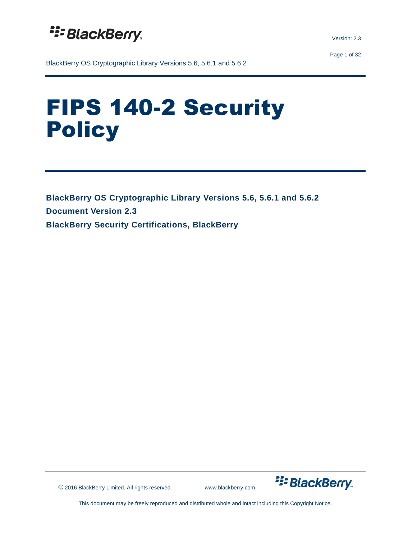

Version: 2.3

Page 1 of 32

BlackBerry OS Cryptographic Library Versions 5.6, 5.6.1 and 5.6.2

# FIPS 140-2 Security **Policy**

**BlackBerry OS Cryptographic Library Versions 5.6, 5.6.1 and 5.6.2 Document Version 2.3 BlackBerry Security Certifications, BlackBerry**

© 2016 BlackBerry Limited. All rights reserved. www.blackberry.com

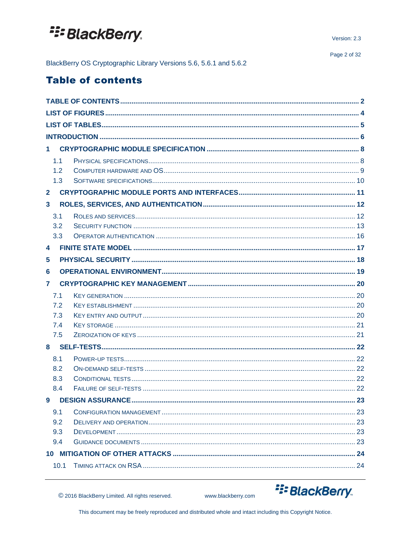BlackBerry OS Cryptographic Library Versions 5.6, 5.6.1 and 5.6.2

## <span id="page-1-0"></span>**Table of contents**

| $\mathbf 1$    |  |
|----------------|--|
| 1.1            |  |
| 1.2            |  |
| 1.3            |  |
| $\mathbf{2}$   |  |
| $\mathbf{3}$   |  |
| 3.1            |  |
| 3.2            |  |
| 3.3            |  |
| 4              |  |
| 5              |  |
| 6              |  |
| $\overline{7}$ |  |
| 7.1            |  |
| 7.2            |  |
| 7.3            |  |
| 7.4            |  |
| 7.5            |  |
|                |  |
| 8.1            |  |
| 8.2            |  |
| 8.3            |  |
| 8.4            |  |
|                |  |
| 9.1            |  |
| 9.2            |  |
| 9.3            |  |
| 9.4            |  |
|                |  |
| 10.1           |  |



C 2016 BlackBerry Limited. All rights reserved.

www.blackberry.com

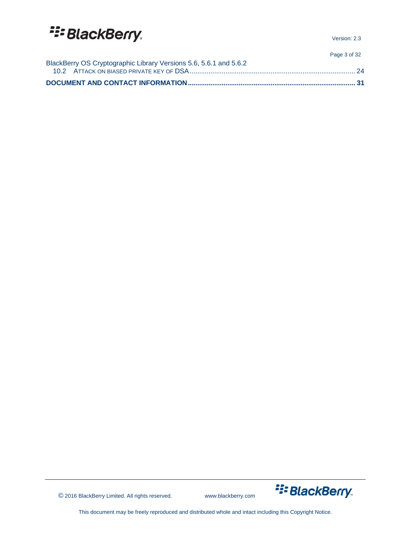Version: 2.3

Page 3 of 32

| BlackBerry OS Cryptographic Library Versions 5.6, 5.6.1 and 5.6.2 |  |
|-------------------------------------------------------------------|--|

© 2016 BlackBerry Limited. All rights reserved. www.blackberry.com

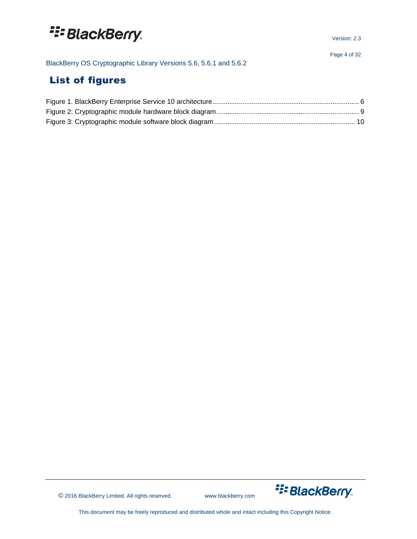BlackBerry OS Cryptographic Library Versions 5.6, 5.6.1 and 5.6.2

## <span id="page-3-0"></span>List of figures



© 2016 BlackBerry Limited. All rights reserved. www.blackberry.com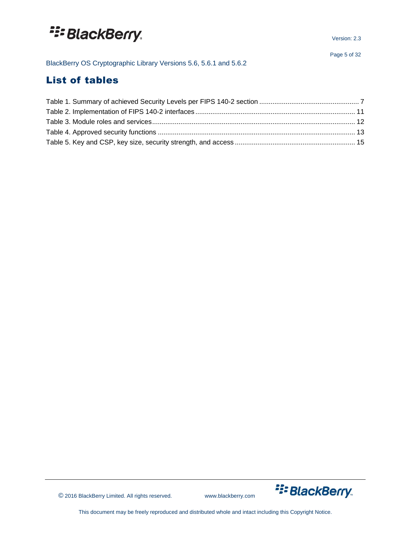BlackBerry OS Cryptographic Library Versions 5.6, 5.6.1 and 5.6.2

## <span id="page-4-0"></span>List of tables



© 2016 BlackBerry Limited. All rights reserved. www.blackberry.com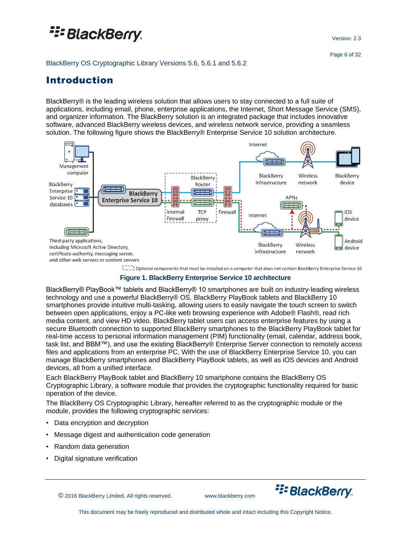Version: 2.3

#### BlackBerry OS Cryptographic Library Versions 5.6, 5.6.1 and 5.6.2

### <span id="page-5-0"></span>Introduction

BlackBerry® is the leading wireless solution that allows users to stay connected to a full suite of applications, including email, phone, enterprise applications, the Internet, Short Message Service (SMS), and organizer information. The BlackBerry solution is an integrated package that includes innovative software, advanced BlackBerry wireless devices, and wireless network service, providing a seamless solution. The following figure shows the BlackBerry® Enterprise Service 10 solution architecture.



I in the poptional components that must be installed on a computer that does not contain BlackBerry Enterprise Service 10

**Figure 1. BlackBerry Enterprise Service 10 architecture**

<span id="page-5-1"></span>BlackBerry® PlayBook™ tablets and BlackBerry® 10 smartphones are built on industry-leading wireless technology and use a powerful BlackBerry® OS. BlackBerry PlayBook tablets and BlackBerry 10 smartphones provide intuitive multi-tasking, allowing users to easily navigate the touch screen to switch between open applications, enjoy a PC-like web browsing experience with Adobe® Flash®, read rich media content, and view HD video. BlackBerry tablet users can access enterprise features by using a secure Bluetooth connection to supported BlackBerry smartphones to the BlackBerry PlayBook tablet for real-time access to personal information management (PIM) functionality (email, calendar, address book, task list, and BBM™), and use the existing BlackBerry® Enterprise Server connection to remotely access files and applications from an enterprise PC. With the use of BlackBerry Enterprise Service 10, you can manage BlackBerry smartphones and BlackBerry PlayBook tablets, as well as iOS devices and Android devices, all from a unified interface.

Each BlackBerry PlayBook tablet and BlackBerry 10 smartphone contains the BlackBerry OS Cryptographic Library, a software module that provides the cryptographic functionality required for basic operation of the device.

The BlackBerry OS Cryptographic Library, hereafter referred to as the cryptographic module or the module, provides the following cryptographic services:

- Data encryption and decryption
- Message digest and authentication code generation
- Random data generation
- Digital signature verification

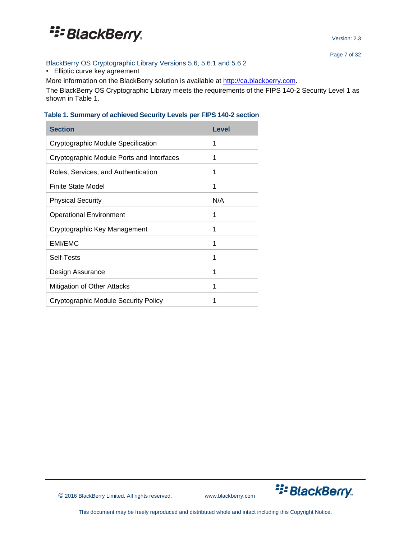

Version: 2.3

Page 7 of 32

#### BlackBerry OS Cryptographic Library Versions 5.6, 5.6.1 and 5.6.2

• Elliptic curve key agreement

More information on the BlackBerry solution is available at [http://ca.blackberry.com.](http://ca.blackberry.com/)

The BlackBerry OS Cryptographic Library meets the requirements of the FIPS 140-2 Security Level 1 as shown in Table 1.

#### <span id="page-6-0"></span>**Table 1. Summary of achieved Security Levels per FIPS 140-2 section**

| <b>Section</b>                            | Level |
|-------------------------------------------|-------|
| Cryptographic Module Specification        | 1     |
| Cryptographic Module Ports and Interfaces | 1     |
| Roles, Services, and Authentication       | 1     |
| <b>Finite State Model</b>                 | 1     |
| <b>Physical Security</b>                  | N/A   |
| <b>Operational Environment</b>            | 1     |
| Cryptographic Key Management              | 1     |
| <b>EMI/EMC</b>                            | 1     |
| Self-Tests                                | 1     |
| Design Assurance                          | 1     |
| Mitigation of Other Attacks               | 1     |
| Cryptographic Module Security Policy      | 1     |

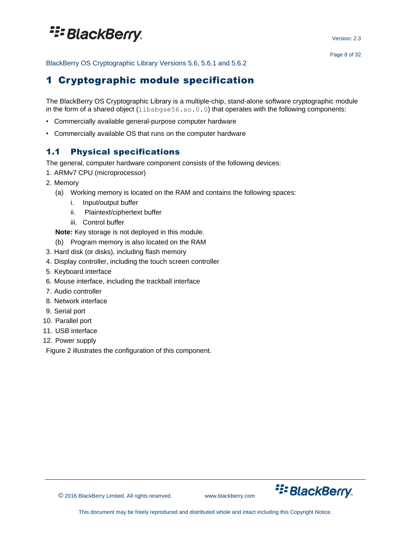Version: 2.3

<span id="page-7-0"></span>BlackBerry OS Cryptographic Library Versions 5.6, 5.6.1 and 5.6.2

### 1 Cryptographic module specification

The BlackBerry OS Cryptographic Library is a multiple-chip, stand-alone software cryptographic module in the form of a shared object  $(l\text{ibsbqse56.s.0.0.0})$  that operates with the following components:

- Commercially available general-purpose computer hardware
- Commercially available OS that runs on the computer hardware

### <span id="page-7-1"></span>1.1 Physical specifications

The general, computer hardware component consists of the following devices:

- 1. ARMv7 CPU (microprocessor)
- 2. Memory
	- (a) Working memory is located on the RAM and contains the following spaces:
		- i. Input/output buffer
		- ii. Plaintext/ciphertext buffer
		- iii. Control buffer

**Note:** Key storage is not deployed in this module.

- (b) Program memory is also located on the RAM
- 3. Hard disk (or disks), including flash memory
- 4. Display controller, including the touch screen controller
- 5. Keyboard interface
- 6. Mouse interface, including the trackball interface
- 7. Audio controller
- 8. Network interface
- 9. Serial port
- 10. Parallel port
- 11. USB interface
- 12. Power supply

Figure 2 illustrates the configuration of this component.



© 2016 BlackBerry Limited. All rights reserved. www.blackberry.com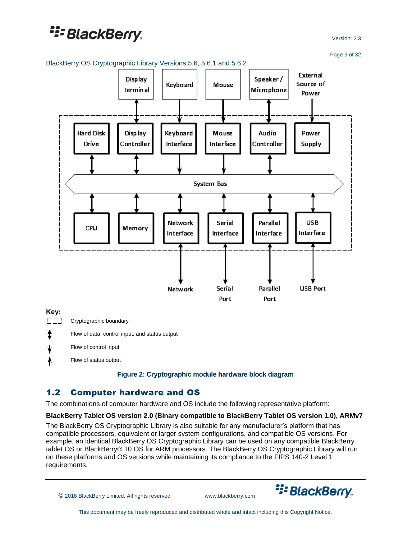Version: 2.3

Page 9 of 32



Flow of control input

<span id="page-8-1"></span>Flow of status output

#### **Figure 2: Cryptographic module hardware block diagram**

### <span id="page-8-0"></span>1.2 Computer hardware and OS

The combinations of computer hardware and OS include the following representative platform:

#### **BlackBerry Tablet OS version 2.0 (Binary compatible to BlackBerry Tablet OS version 1.0), ARMv7**

The BlackBerry OS Cryptographic Library is also suitable for any manufacturer's platform that has compatible processors, equivalent or larger system configurations, and compatible OS versions. For example, an identical BlackBerry OS Cryptographic Library can be used on any compatible BlackBerry tablet OS or BlackBerry® 10 OS for ARM processors. The BlackBerry OS Cryptographic Library will run on these platforms and OS versions while maintaining its compliance to the FIPS 140-2 Level 1 requirements.

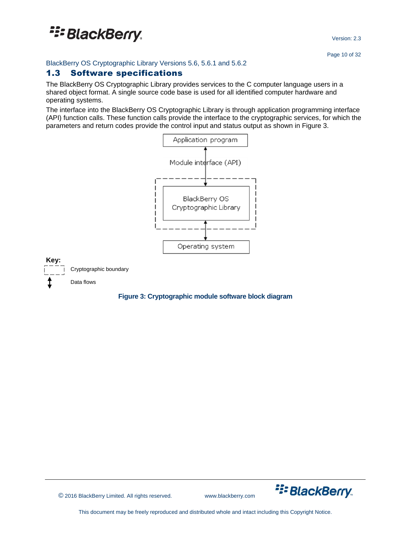BlackBerry OS Cryptographic Library Versions 5.6, 5.6.1 and 5.6.2

### <span id="page-9-0"></span>1.3 Software specifications

The BlackBerry OS Cryptographic Library provides services to the C computer language users in a shared object format. A single source code base is used for all identified computer hardware and operating systems.

The interface into the BlackBerry OS Cryptographic Library is through application programming interface (API) function calls. These function calls provide the interface to the cryptographic services, for which the parameters and return codes provide the control input and status output as shown in Figure 3.



#### <span id="page-9-1"></span>**Figure 3: Cryptographic module software block diagram**

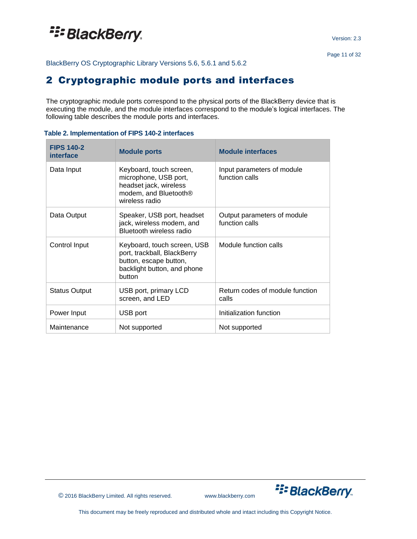<span id="page-10-0"></span>BlackBerry OS Cryptographic Library Versions 5.6, 5.6.1 and 5.6.2

### 2 Cryptographic module ports and interfaces

The cryptographic module ports correspond to the physical ports of the BlackBerry device that is executing the module, and the module interfaces correspond to the module's logical interfaces. The following table describes the module ports and interfaces.

| <b>FIPS 140-2</b><br>interface | <b>Module ports</b>                                                                                                               | <b>Module interfaces</b>                      |
|--------------------------------|-----------------------------------------------------------------------------------------------------------------------------------|-----------------------------------------------|
| Data Input                     | Keyboard, touch screen,<br>microphone, USB port,<br>headset jack, wireless<br>modem, and Bluetooth <sup>®</sup><br>wireless radio | Input parameters of module<br>function calls  |
| Data Output                    | Speaker, USB port, headset<br>jack, wireless modem, and<br>Bluetooth wireless radio                                               | Output parameters of module<br>function calls |
| Control Input                  | Keyboard, touch screen, USB<br>port, trackball, BlackBerry<br>button, escape button,<br>backlight button, and phone<br>button     | Module function calls                         |
| <b>Status Output</b>           | USB port, primary LCD<br>screen, and LED                                                                                          | Return codes of module function<br>calls      |
| Power Input                    | USB port                                                                                                                          | Initialization function                       |
| Maintenance                    | Not supported                                                                                                                     | Not supported                                 |

#### <span id="page-10-1"></span>**Table 2. Implementation of FIPS 140-2 interfaces**

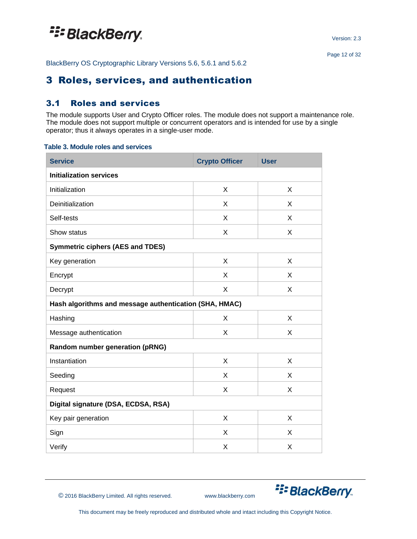<span id="page-11-0"></span>BlackBerry OS Cryptographic Library Versions 5.6, 5.6.1 and 5.6.2

### 3 Roles, services, and authentication

### <span id="page-11-1"></span>3.1 Roles and services

The module supports User and Crypto Officer roles. The module does not support a maintenance role. The module does not support multiple or concurrent operators and is intended for use by a single operator; thus it always operates in a single-user mode.

#### <span id="page-11-2"></span>**Table 3. Module roles and services**

| <b>Service</b>                                         | <b>Crypto Officer</b> | <b>User</b> |  |  |  |
|--------------------------------------------------------|-----------------------|-------------|--|--|--|
| <b>Initialization services</b>                         |                       |             |  |  |  |
| Initialization                                         | X                     | X           |  |  |  |
| Deinitialization                                       | X                     | X           |  |  |  |
| Self-tests                                             | X                     | X           |  |  |  |
| Show status                                            | X                     | X           |  |  |  |
| <b>Symmetric ciphers (AES and TDES)</b>                |                       |             |  |  |  |
| Key generation                                         | X                     | X           |  |  |  |
| Encrypt                                                | X                     | X           |  |  |  |
| Decrypt                                                | X                     | X           |  |  |  |
| Hash algorithms and message authentication (SHA, HMAC) |                       |             |  |  |  |
| Hashing                                                | X                     | X           |  |  |  |
| Message authentication                                 | X                     | X           |  |  |  |
| Random number generation (pRNG)                        |                       |             |  |  |  |
| Instantiation                                          | X                     | X           |  |  |  |
| Seeding                                                | X                     | X           |  |  |  |
| Request                                                | X                     | X           |  |  |  |
| Digital signature (DSA, ECDSA, RSA)                    |                       |             |  |  |  |
| Key pair generation                                    | X                     | X           |  |  |  |
| Sign                                                   | X                     | X           |  |  |  |
| Verify                                                 | X                     | X           |  |  |  |



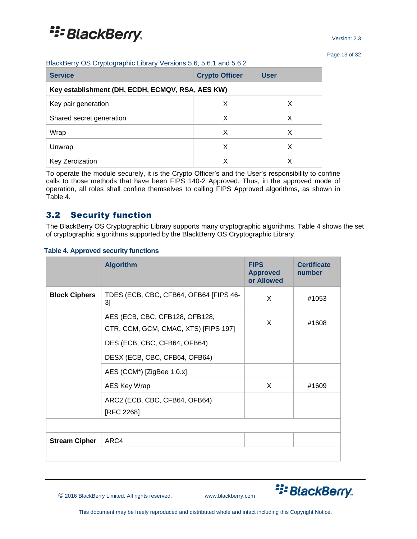Page 13 of 32

|  |  | BlackBerry OS Cryptographic Library Versions 5.6, 5.6.1 and 5.6.2 |  |
|--|--|-------------------------------------------------------------------|--|
|  |  |                                                                   |  |

| <b>Service</b>                                   | <b>Crypto Officer</b> | <b>User</b> |  |  |  |
|--------------------------------------------------|-----------------------|-------------|--|--|--|
| Key establishment (DH, ECDH, ECMQV, RSA, AES KW) |                       |             |  |  |  |
| Key pair generation                              | х                     | х           |  |  |  |
| Shared secret generation                         | X                     | X           |  |  |  |
| Wrap                                             | X                     | X           |  |  |  |
| Unwrap                                           | х                     | X           |  |  |  |
| Key Zeroization                                  | Х                     |             |  |  |  |

To operate the module securely, it is the Crypto Officer's and the User's responsibility to confine calls to those methods that have been FIPS 140-2 Approved. Thus, in the approved mode of operation, all roles shall confine themselves to calling FIPS Approved algorithms, as shown in Table 4.

### <span id="page-12-0"></span>3.2 Security function

The BlackBerry OS Cryptographic Library supports many cryptographic algorithms. Table 4 shows the set of cryptographic algorithms supported by the BlackBerry OS Cryptographic Library.

#### <span id="page-12-1"></span>**Table 4. Approved security functions**

|                      | <b>Algorithm</b>                             | <b>FIPS</b><br><b>Approved</b><br>or Allowed | <b>Certificate</b><br>number |
|----------------------|----------------------------------------------|----------------------------------------------|------------------------------|
| <b>Block Ciphers</b> | TDES (ECB, CBC, CFB64, OFB64 [FIPS 46-<br>3] | X                                            | #1053                        |
|                      | AES (ECB, CBC, CFB128, OFB128,               | X                                            |                              |
|                      | CTR, CCM, GCM, CMAC, XTS) [FIPS 197]         |                                              | #1608                        |
|                      | DES (ECB, CBC, CFB64, OFB64)                 |                                              |                              |
|                      | DESX (ECB, CBC, CFB64, OFB64)                |                                              |                              |
|                      | AES (CCM <sup>*</sup> ) [ZigBee 1.0.x]       |                                              |                              |
|                      | AES Key Wrap                                 | X                                            | #1609                        |
|                      | ARC2 (ECB, CBC, CFB64, OFB64)<br>[RFC 2268]  |                                              |                              |
|                      |                                              |                                              |                              |
| <b>Stream Cipher</b> | ARC4                                         |                                              |                              |
|                      |                                              |                                              |                              |



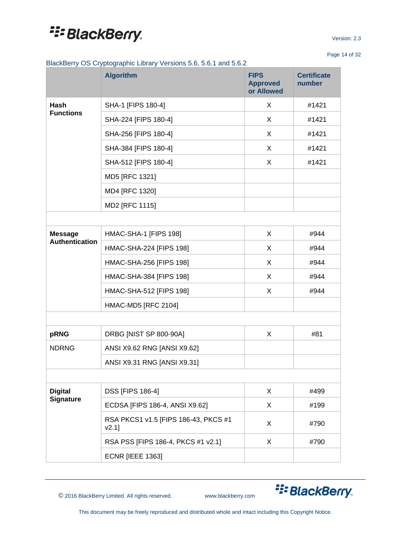Page 14 of 32

BlackBerry OS Cryptographic Library Versions 5.6, 5.6.1 and 5.6.2

|                       | <b>Algorithm</b>                                 | <b>FIPS</b><br><b>Approved</b><br>or Allowed | <b>Certificate</b><br>number |
|-----------------------|--------------------------------------------------|----------------------------------------------|------------------------------|
| Hash                  | SHA-1 [FIPS 180-4]                               | X                                            | #1421                        |
| <b>Functions</b>      | SHA-224 [FIPS 180-4]                             | X                                            | #1421                        |
|                       | SHA-256 [FIPS 180-4]                             | X                                            | #1421                        |
|                       | SHA-384 [FIPS 180-4]                             | X                                            | #1421                        |
|                       | SHA-512 [FIPS 180-4]                             | X                                            | #1421                        |
|                       | MD5 [RFC 1321]                                   |                                              |                              |
|                       | MD4 [RFC 1320]                                   |                                              |                              |
|                       | MD2 [RFC 1115]                                   |                                              |                              |
|                       |                                                  |                                              |                              |
| <b>Message</b>        | HMAC-SHA-1 [FIPS 198]                            | X                                            | #944                         |
| <b>Authentication</b> | HMAC-SHA-224 [FIPS 198]                          | X                                            | #944                         |
|                       | HMAC-SHA-256 [FIPS 198]                          | X                                            | #944                         |
|                       | HMAC-SHA-384 [FIPS 198]                          | X                                            | #944                         |
|                       | HMAC-SHA-512 [FIPS 198]                          | X                                            | #944                         |
|                       | <b>HMAC-MD5 [RFC 2104]</b>                       |                                              |                              |
|                       |                                                  |                                              |                              |
| pRNG                  | DRBG [NIST SP 800-90A]                           | X                                            | #81                          |
| <b>NDRNG</b>          | ANSI X9.62 RNG [ANSI X9.62]                      |                                              |                              |
|                       | ANSI X9.31 RNG [ANSI X9.31]                      |                                              |                              |
|                       |                                                  |                                              |                              |
| <b>Digital</b>        | <b>DSS [FIPS 186-4]</b>                          | X                                            | #499                         |
| <b>Signature</b>      | ECDSA [FIPS 186-4, ANSI X9.62]                   | X                                            | #199                         |
|                       | RSA PKCS1 v1.5 [FIPS 186-43, PKCS #1<br>$V2.1$ ] | X                                            | #790                         |
|                       | RSA PSS [FIPS 186-4, PKCS #1 v2.1]               | X                                            | #790                         |
|                       | <b>ECNR [IEEE 1363]</b>                          |                                              |                              |

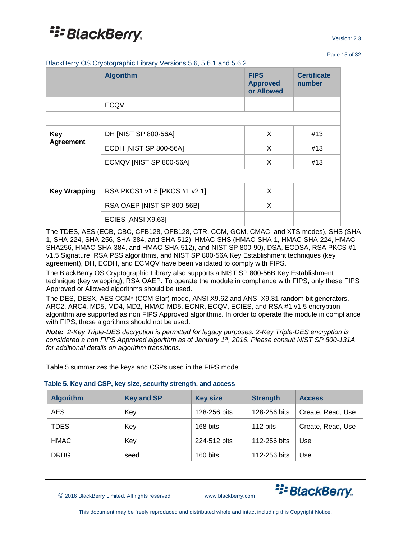Page 15 of 32

BlackBerry OS Cryptographic Library Versions 5.6, 5.6.1 and 5.6.2

|                     | <b>Algorithm</b>              | <b>FIPS</b><br><b>Approved</b><br>or Allowed | <b>Certificate</b><br>number |
|---------------------|-------------------------------|----------------------------------------------|------------------------------|
|                     | <b>ECQV</b>                   |                                              |                              |
|                     |                               |                                              |                              |
| <b>Key</b>          | DH [NIST SP 800-56A]          | X                                            | #13                          |
| <b>Agreement</b>    | ECDH [NIST SP 800-56A]        | X                                            | #13                          |
|                     | ECMQV [NIST SP 800-56A]       | X                                            | #13                          |
|                     |                               |                                              |                              |
| <b>Key Wrapping</b> | RSA PKCS1 v1.5 [PKCS #1 v2.1] | X                                            |                              |
|                     | RSA OAEP [NIST SP 800-56B]    | X                                            |                              |
|                     | ECIES [ANSI X9.63]            |                                              |                              |

The TDES, AES (ECB, CBC, CFB128, OFB128, CTR, CCM, GCM, CMAC, and XTS modes), SHS (SHA-1, SHA-224, SHA-256, SHA-384, and SHA-512), HMAC-SHS (HMAC-SHA-1, HMAC-SHA-224, HMAC-SHA256, HMAC-SHA-384, and HMAC-SHA-512), and NIST SP 800-90), DSA, ECDSA, RSA PKCS #1 v1.5 Signature, RSA PSS algorithms, and NIST SP 800-56A Key Establishment techniques (key agreement), DH, ECDH, and ECMQV have been validated to comply with FIPS.

The BlackBerry OS Cryptographic Library also supports a NIST SP 800-56B Key Establishment technique (key wrapping), RSA OAEP. To operate the module in compliance with FIPS, only these FIPS Approved or Allowed algorithms should be used.

The DES, DESX, AES CCM\* (CCM Star) mode, ANSI X9.62 and ANSI X9.31 random bit generators, ARC2, ARC4, MD5, MD4, MD2, HMAC-MD5, ECNR, ECQV, ECIES, and RSA #1 v1.5 encryption algorithm are supported as non FIPS Approved algorithms. In order to operate the module in compliance with FIPS, these algorithms should not be used.

*Note: 2-Key Triple-DES decryption is permitted for legacy purposes. 2-Key Triple-DES encryption is considered a non FIPS Approved algorithm as of January 1st, 2016. Please consult NIST SP 800-131A for additional details on algorithm transitions.*

Table 5 summarizes the keys and CSPs used in the FIPS mode.

<span id="page-14-0"></span>

|  |  | Table 5. Key and CSP, key size, security strength, and access |
|--|--|---------------------------------------------------------------|
|--|--|---------------------------------------------------------------|

| <b>Algorithm</b> | <b>Key and SP</b> | <b>Key size</b> | <b>Strength</b> | <b>Access</b>     |
|------------------|-------------------|-----------------|-----------------|-------------------|
| <b>AES</b>       | Key               | 128-256 bits    | 128-256 bits    | Create, Read, Use |
| <b>TDES</b>      | Key               | 168 bits        | 112 bits        | Create, Read, Use |
| <b>HMAC</b>      | Key               | 224-512 bits    | 112-256 bits    | Use               |
| <b>DRBG</b>      | seed              | 160 bits        | 112-256 bits    | Use               |

© 2016 BlackBerry Limited. All rights reserved. www.blackberry.com

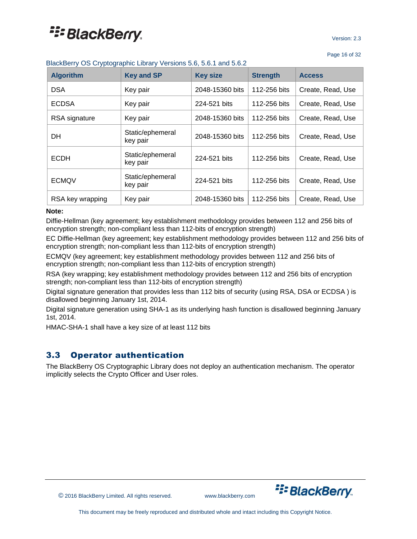|  | BlackBerry OS Cryptographic Library Versions 5.6, 5.6.1 and 5.6.2 |  |  |
|--|-------------------------------------------------------------------|--|--|
|  |                                                                   |  |  |

| <b>Algorithm</b> | <b>Key and SP</b>            | <b>Key size</b> | <b>Strength</b> | <b>Access</b>     |
|------------------|------------------------------|-----------------|-----------------|-------------------|
| <b>DSA</b>       | Key pair                     | 2048-15360 bits | 112-256 bits    | Create, Read, Use |
| <b>ECDSA</b>     | Key pair                     | 224-521 bits    | 112-256 bits    | Create, Read, Use |
| RSA signature    | Key pair                     | 2048-15360 bits | 112-256 bits    | Create, Read, Use |
| DH.              | Static/ephemeral<br>key pair | 2048-15360 bits | 112-256 bits    | Create, Read, Use |
| <b>ECDH</b>      | Static/ephemeral<br>key pair | 224-521 bits    | 112-256 bits    | Create, Read, Use |
| <b>ECMQV</b>     | Static/ephemeral<br>key pair | 224-521 bits    | 112-256 bits    | Create, Read, Use |
| RSA key wrapping | Key pair                     | 2048-15360 bits | 112-256 bits    | Create, Read, Use |

#### **Note:**

Diffie-Hellman (key agreement; key establishment methodology provides between 112 and 256 bits of encryption strength; non-compliant less than 112-bits of encryption strength)

EC Diffie-Hellman (key agreement; key establishment methodology provides between 112 and 256 bits of encryption strength; non-compliant less than 112-bits of encryption strength)

ECMQV (key agreement; key establishment methodology provides between 112 and 256 bits of encryption strength; non-compliant less than 112-bits of encryption strength)

RSA (key wrapping; key establishment methodology provides between 112 and 256 bits of encryption strength; non-compliant less than 112-bits of encryption strength)

Digital signature generation that provides less than 112 bits of security (using RSA, DSA or ECDSA ) is disallowed beginning January 1st, 2014.

Digital signature generation using SHA-1 as its underlying hash function is disallowed beginning January 1st, 2014.

HMAC-SHA-1 shall have a key size of at least 112 bits

### <span id="page-15-0"></span>3.3 Operator authentication

The BlackBerry OS Cryptographic Library does not deploy an authentication mechanism. The operator implicitly selects the Crypto Officer and User roles.



© 2016 BlackBerry Limited. All rights reserved. www.blackberry.com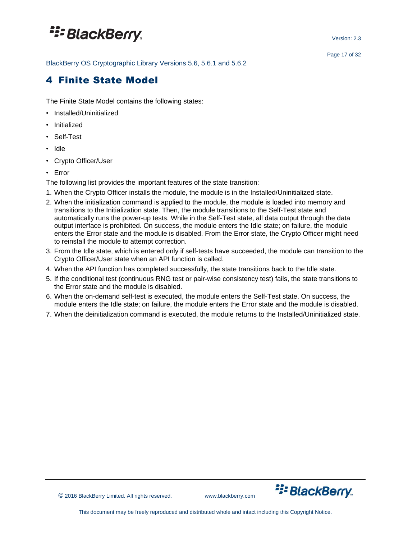BlackBerry OS Cryptographic Library Versions 5.6, 5.6.1 and 5.6.2

## <span id="page-16-0"></span>4 Finite State Model

The Finite State Model contains the following states:

- Installed/Uninitialized
- Initialized
- Self-Test
- Idle
- Crypto Officer/User
- Error

The following list provides the important features of the state transition:

- 1. When the Crypto Officer installs the module, the module is in the Installed/Uninitialized state.
- 2. When the initialization command is applied to the module, the module is loaded into memory and transitions to the Initialization state. Then, the module transitions to the Self-Test state and automatically runs the power-up tests. While in the Self-Test state, all data output through the data output interface is prohibited. On success, the module enters the Idle state; on failure, the module enters the Error state and the module is disabled. From the Error state, the Crypto Officer might need to reinstall the module to attempt correction.
- 3. From the Idle state, which is entered only if self-tests have succeeded, the module can transition to the Crypto Officer/User state when an API function is called.
- 4. When the API function has completed successfully, the state transitions back to the Idle state.
- 5. If the conditional test (continuous RNG test or pair-wise consistency test) fails, the state transitions to the Error state and the module is disabled.
- 6. When the on-demand self-test is executed, the module enters the Self-Test state. On success, the module enters the Idle state; on failure, the module enters the Error state and the module is disabled.
- 7. When the deinitialization command is executed, the module returns to the Installed/Uninitialized state.

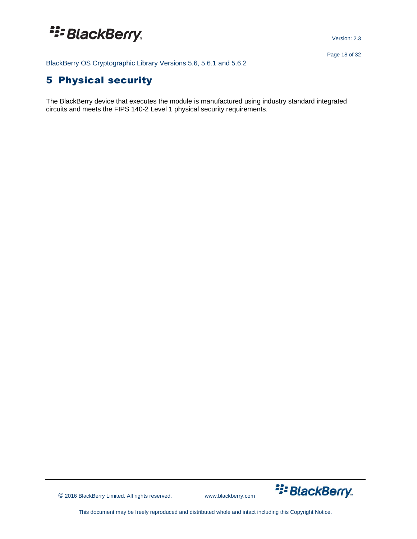Version: 2.3

BlackBerry OS Cryptographic Library Versions 5.6, 5.6.1 and 5.6.2

## <span id="page-17-0"></span>5 Physical security

The BlackBerry device that executes the module is manufactured using industry standard integrated circuits and meets the FIPS 140-2 Level 1 physical security requirements.

© 2016 BlackBerry Limited. All rights reserved. www.blackberry.com

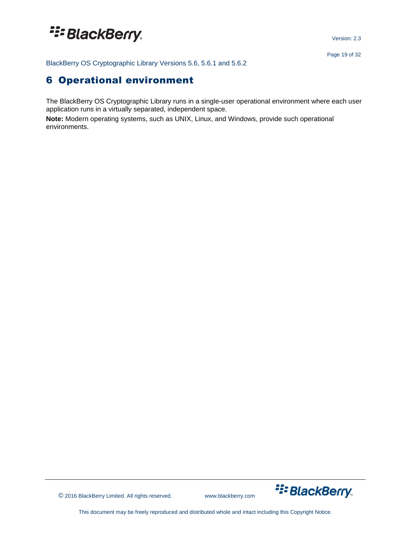Version: 2.3

<span id="page-18-0"></span>BlackBerry OS Cryptographic Library Versions 5.6, 5.6.1 and 5.6.2

## 6 Operational environment

The BlackBerry OS Cryptographic Library runs in a single-user operational environment where each user application runs in a virtually separated, independent space.

**Note:** Modern operating systems, such as UNIX, Linux, and Windows, provide such operational environments.



© 2016 BlackBerry Limited. All rights reserved. www.blackberry.com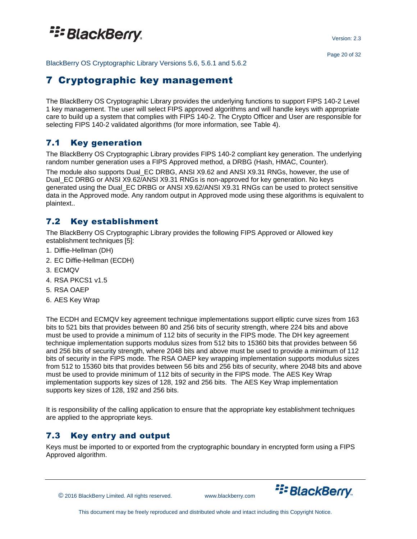## <sup>22</sup>BlackBerry.

Version: 2.3

<span id="page-19-0"></span>BlackBerry OS Cryptographic Library Versions 5.6, 5.6.1 and 5.6.2

### 7 Cryptographic key management

The BlackBerry OS Cryptographic Library provides the underlying functions to support FIPS 140-2 Level 1 key management. The user will select FIPS approved algorithms and will handle keys with appropriate care to build up a system that complies with FIPS 140-2. The Crypto Officer and User are responsible for selecting FIPS 140-2 validated algorithms (for more information, see Table 4).

### <span id="page-19-1"></span>7.1 Key generation

The BlackBerry OS Cryptographic Library provides FIPS 140-2 compliant key generation. The underlying random number generation uses a FIPS Approved method, a DRBG (Hash, HMAC, Counter).

The module also supports Dual\_EC DRBG, ANSI X9.62 and ANSI X9.31 RNGs, however, the use of Dual\_EC DRBG or ANSI X9.62/ANSI X9.31 RNGs is non-approved for key generation. No keys generated using the Dual\_EC DRBG or ANSI X9.62/ANSI X9.31 RNGs can be used to protect sensitive data in the Approved mode. Any random output in Approved mode using these algorithms is equivalent to plaintext..

### <span id="page-19-2"></span>7.2 Key establishment

The BlackBerry OS Cryptographic Library provides the following FIPS Approved or Allowed key establishment techniques [5]:

- 1. Diffie-Hellman (DH)
- 2. EC Diffie-Hellman (ECDH)
- 3. ECMQV
- 4. RSA PKCS1 v1.5
- 5. RSA OAEP
- 6. AES Key Wrap

The ECDH and ECMQV key agreement technique implementations support elliptic curve sizes from 163 bits to 521 bits that provides between 80 and 256 bits of security strength, where 224 bits and above must be used to provide a minimum of 112 bits of security in the FIPS mode. The DH key agreement technique implementation supports modulus sizes from 512 bits to 15360 bits that provides between 56 and 256 bits of security strength, where 2048 bits and above must be used to provide a minimum of 112 bits of security in the FIPS mode. The RSA OAEP key wrapping implementation supports modulus sizes from 512 to 15360 bits that provides between 56 bits and 256 bits of security, where 2048 bits and above must be used to provide minimum of 112 bits of security in the FIPS mode. The AES Key Wrap implementation supports key sizes of 128, 192 and 256 bits. The AES Key Wrap implementation supports key sizes of 128, 192 and 256 bits.

It is responsibility of the calling application to ensure that the appropriate key establishment techniques are applied to the appropriate keys.

### <span id="page-19-3"></span>7.3 Key entry and output

Keys must be imported to or exported from the cryptographic boundary in encrypted form using a FIPS Approved algorithm.

© 2016 BlackBerry Limited. All rights reserved. www.blackberry.com

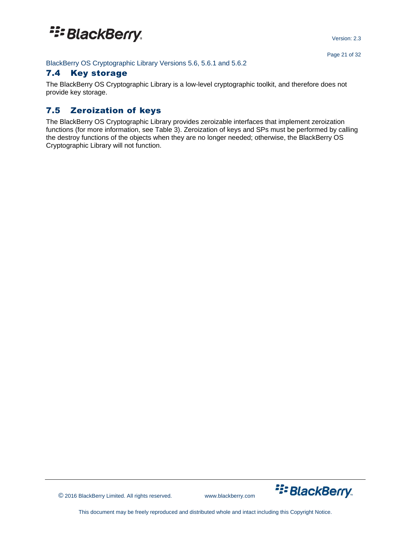#### BlackBerry OS Cryptographic Library Versions 5.6, 5.6.1 and 5.6.2

#### <span id="page-20-0"></span>7.4 Key storage

The BlackBerry OS Cryptographic Library is a low-level cryptographic toolkit, and therefore does not provide key storage.

### <span id="page-20-1"></span>7.5 Zeroization of keys

The BlackBerry OS Cryptographic Library provides zeroizable interfaces that implement zeroization functions (for more information, see Table 3). Zeroization of keys and SPs must be performed by calling the destroy functions of the objects when they are no longer needed; otherwise, the BlackBerry OS Cryptographic Library will not function.



© 2016 BlackBerry Limited. All rights reserved. www.blackberry.com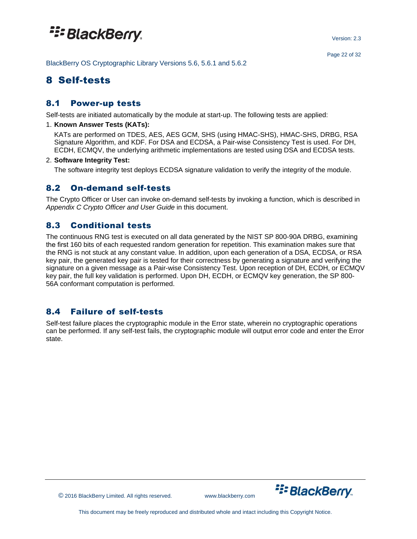BlackBerry OS Cryptographic Library Versions 5.6, 5.6.1 and 5.6.2

### <span id="page-21-0"></span>8 Self-tests

### <span id="page-21-1"></span>8.1 Power-up tests

Self-tests are initiated automatically by the module at start-up. The following tests are applied:

#### 1. **Known Answer Tests (KATs):**

KATs are performed on TDES, AES, AES GCM, SHS (using HMAC-SHS), HMAC-SHS, DRBG, RSA Signature Algorithm, and KDF. For DSA and ECDSA, a Pair-wise Consistency Test is used. For DH, ECDH, ECMQV, the underlying arithmetic implementations are tested using DSA and ECDSA tests.

#### 2. **Software Integrity Test:**

The software integrity test deploys ECDSA signature validation to verify the integrity of the module.

### <span id="page-21-2"></span>8.2 On-demand self-tests

The Crypto Officer or User can invoke on-demand self-tests by invoking a function, which is described in *Appendix C Crypto Officer and User Guide* in this document.

### <span id="page-21-3"></span>8.3 Conditional tests

The continuous RNG test is executed on all data generated by the NIST SP 800-90A DRBG, examining the first 160 bits of each requested random generation for repetition. This examination makes sure that the RNG is not stuck at any constant value. In addition, upon each generation of a DSA, ECDSA, or RSA key pair, the generated key pair is tested for their correctness by generating a signature and verifying the signature on a given message as a Pair-wise Consistency Test. Upon reception of DH, ECDH, or ECMQV key pair, the full key validation is performed. Upon DH, ECDH, or ECMQV key generation, the SP 800- 56A conformant computation is performed.

### <span id="page-21-4"></span>8.4 Failure of self-tests

Self-test failure places the cryptographic module in the Error state, wherein no cryptographic operations can be performed. If any self-test fails, the cryptographic module will output error code and enter the Error state.



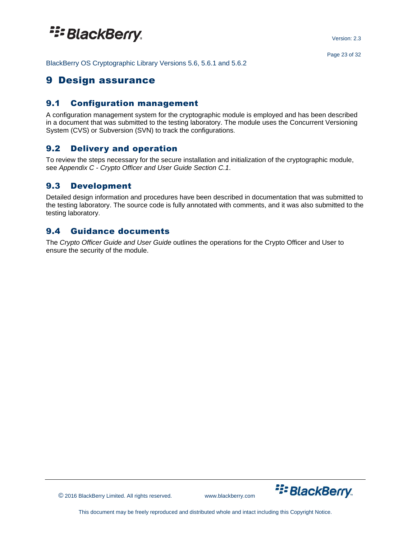<span id="page-22-0"></span>BlackBerry OS Cryptographic Library Versions 5.6, 5.6.1 and 5.6.2

### 9 Design assurance

### <span id="page-22-1"></span>9.1 Configuration management

A configuration management system for the cryptographic module is employed and has been described in a document that was submitted to the testing laboratory. The module uses the Concurrent Versioning System (CVS) or Subversion (SVN) to track the configurations.

### <span id="page-22-2"></span>9.2 Delivery and operation

To review the steps necessary for the secure installation and initialization of the cryptographic module, see *Appendix C - Crypto Officer and User Guide Section C.1*.

### <span id="page-22-3"></span>9.3 Development

Detailed design information and procedures have been described in documentation that was submitted to the testing laboratory. The source code is fully annotated with comments, and it was also submitted to the testing laboratory.

### <span id="page-22-4"></span>9.4 Guidance documents

The *Crypto Officer Guide and User Guide* outlines the operations for the Crypto Officer and User to ensure the security of the module.

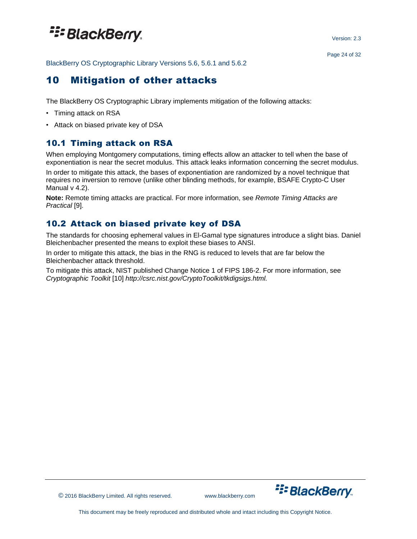Version: 2.3

<span id="page-23-0"></span>BlackBerry OS Cryptographic Library Versions 5.6, 5.6.1 and 5.6.2

### 10 Mitigation of other attacks

The BlackBerry OS Cryptographic Library implements mitigation of the following attacks:

- Timing attack on RSA
- Attack on biased private key of DSA

### <span id="page-23-1"></span>10.1 Timing attack on RSA

When employing Montgomery computations, timing effects allow an attacker to tell when the base of exponentiation is near the secret modulus. This attack leaks information concerning the secret modulus. In order to mitigate this attack, the bases of exponentiation are randomized by a novel technique that requires no inversion to remove (unlike other blinding methods, for example, BSAFE Crypto-C User Manual v 4.2).

**Note:** Remote timing attacks are practical. For more information, see *Remote Timing Attacks are Practical* [9].

### <span id="page-23-2"></span>10.2 Attack on biased private key of DSA

The standards for choosing ephemeral values in El-Gamal type signatures introduce a slight bias. Daniel Bleichenbacher presented the means to exploit these biases to ANSI.

In order to mitigate this attack, the bias in the RNG is reduced to levels that are far below the Bleichenbacher attack threshold.

To mitigate this attack, NIST published Change Notice 1 of FIPS 186-2. For more information, see *Cryptographic Toolkit* [10] *http://csrc.nist.gov/CryptoToolkit/tkdigsigs.html.*

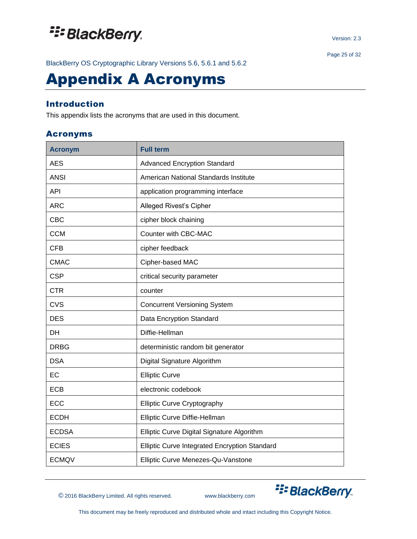BlackBerry OS Cryptographic Library Versions 5.6, 5.6.1 and 5.6.2

## Appendix A Acronyms

### Introduction

This appendix lists the acronyms that are used in this document.

#### Acronyms

| <b>Acronym</b> | <b>Full term</b>                              |
|----------------|-----------------------------------------------|
| <b>AES</b>     | <b>Advanced Encryption Standard</b>           |
| <b>ANSI</b>    | American National Standards Institute         |
| <b>API</b>     | application programming interface             |
| <b>ARC</b>     | Alleged Rivest's Cipher                       |
| <b>CBC</b>     | cipher block chaining                         |
| <b>CCM</b>     | Counter with CBC-MAC                          |
| <b>CFB</b>     | cipher feedback                               |
| <b>CMAC</b>    | Cipher-based MAC                              |
| <b>CSP</b>     | critical security parameter                   |
| <b>CTR</b>     | counter                                       |
| <b>CVS</b>     | <b>Concurrent Versioning System</b>           |
| <b>DES</b>     | Data Encryption Standard                      |
| DH             | Diffie-Hellman                                |
| <b>DRBG</b>    | deterministic random bit generator            |
| <b>DSA</b>     | Digital Signature Algorithm                   |
| EC             | <b>Elliptic Curve</b>                         |
| <b>ECB</b>     | electronic codebook                           |
| <b>ECC</b>     | <b>Elliptic Curve Cryptography</b>            |
| <b>ECDH</b>    | Elliptic Curve Diffie-Hellman                 |
| <b>ECDSA</b>   | Elliptic Curve Digital Signature Algorithm    |
| <b>ECIES</b>   | Elliptic Curve Integrated Encryption Standard |
| <b>ECMQV</b>   | Elliptic Curve Menezes-Qu-Vanstone            |

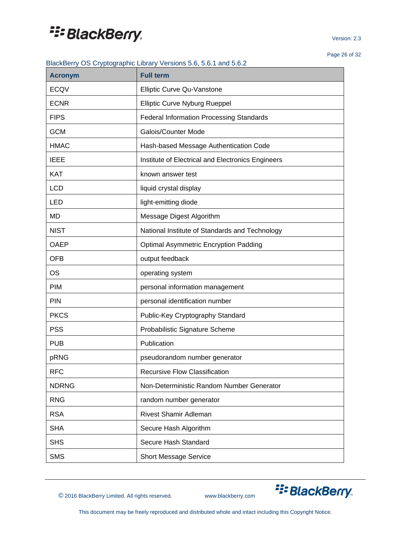Version: 2.3

Page 26 of 32

#### BlackBerry OS Cryptographic Library Versions 5.6, 5.6.1 and 5.6.2

| <b>Acronym</b> | <b>Full term</b>                                  |
|----------------|---------------------------------------------------|
| <b>ECQV</b>    | Elliptic Curve Qu-Vanstone                        |
| <b>ECNR</b>    | Elliptic Curve Nyburg Rueppel                     |
| <b>FIPS</b>    | <b>Federal Information Processing Standards</b>   |
| <b>GCM</b>     | Galois/Counter Mode                               |
| <b>HMAC</b>    | Hash-based Message Authentication Code            |
| <b>IEEE</b>    | Institute of Electrical and Electronics Engineers |
| <b>KAT</b>     | known answer test                                 |
| <b>LCD</b>     | liquid crystal display                            |
| LED            | light-emitting diode                              |
| <b>MD</b>      | Message Digest Algorithm                          |
| <b>NIST</b>    | National Institute of Standards and Technology    |
| <b>OAEP</b>    | <b>Optimal Asymmetric Encryption Padding</b>      |
| <b>OFB</b>     | output feedback                                   |
| <b>OS</b>      | operating system                                  |
| PIM            | personal information management                   |
| <b>PIN</b>     | personal identification number                    |
| <b>PKCS</b>    | Public-Key Cryptography Standard                  |
| <b>PSS</b>     | Probabilistic Signature Scheme                    |
| <b>PUB</b>     | Publication                                       |
| pRNG           | pseudorandom number generator                     |
| <b>RFC</b>     | Recursive Flow Classification                     |
| <b>NDRNG</b>   | Non-Deterministic Random Number Generator         |
| <b>RNG</b>     | random number generator                           |
| <b>RSA</b>     | <b>Rivest Shamir Adleman</b>                      |
| <b>SHA</b>     | Secure Hash Algorithm                             |
| <b>SHS</b>     | Secure Hash Standard                              |
| <b>SMS</b>     | <b>Short Message Service</b>                      |

© 2016 BlackBerry Limited. All rights reserved. www.blackberry.com

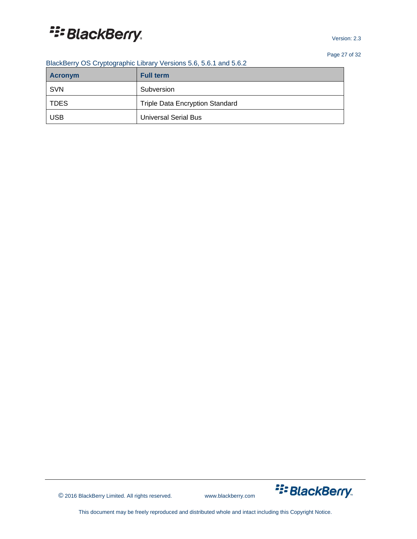Version: 2.3

Page 27 of 32

| <b>Acronym</b> | <b>Full term</b>                       |
|----------------|----------------------------------------|
| <b>SVN</b>     | Subversion                             |
| <b>TDES</b>    | <b>Triple Data Encryption Standard</b> |
| <b>USB</b>     | <b>Universal Serial Bus</b>            |



© 2016 BlackBerry Limited. All rights reserved. www.blackberry.com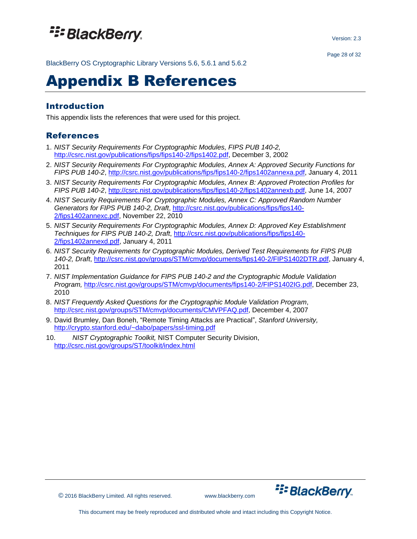BlackBerry OS Cryptographic Library Versions 5.6, 5.6.1 and 5.6.2

## Appendix B References

### Introduction

This appendix lists the references that were used for this project.

### References

- 1. *NIST Security Requirements For Cryptographic Modules, FIPS PUB 140-2,* [http://csrc.nist.gov/publications/fips/fips140-2/fips1402.pdf,](http://csrc.nist.gov/publications/fips/fips140-2/fips1402.pdf) December 3, 2002
- 2. *NIST Security Requirements For Cryptographic Modules, Annex A: Approved Security Functions for FIPS PUB 140-2*, [http://csrc.nist.gov/publications/fips/fips140-2/fips1402annexa.pdf,](http://csrc.nist.gov/publications/fips/fips140-2/fips1402annexa.pdf) January 4, 2011
- 3. *NIST Security Requirements For Cryptographic Modules, Annex B: Approved Protection Profiles for FIPS PUB 140-2*, [http://csrc.nist.gov/publications/fips/fips140-2/fips1402annexb.pdf,](http://csrc.nist.gov/publications/fips/fips140-2/fips1402annexb.pdf) June 14, 2007
- 4. *NIST Security Requirements For Cryptographic Modules, Annex C: Approved Random Number Generators for FIPS PUB 140-2, Draft*, [http://csrc.nist.gov/publications/fips/fips140-](http://csrc.nist.gov/publications/fips/fips140-2/fips1402annexc.pdf) [2/fips1402annexc.pdf,](http://csrc.nist.gov/publications/fips/fips140-2/fips1402annexc.pdf) November 22, 2010
- 5. *NIST Security Requirements For Cryptographic Modules, Annex D: Approved Key Establishment Techniques for FIPS PUB 140-2, Draft*, [http://csrc.nist.gov/publications/fips/fips140-](http://csrc.nist.gov/publications/fips/fips140-2/fips1402annexd.pdf) [2/fips1402annexd.pdf,](http://csrc.nist.gov/publications/fips/fips140-2/fips1402annexd.pdf) January 4, 2011
- 6. *NIST Security Requirements for Cryptographic Modules, Derived Test Requirements for FIPS PUB 140-2, Draft*, [http://csrc.nist.gov/groups/STM/cmvp/documents/fips140-2/FIPS1402DTR.pdf,](http://csrc.nist.gov/groups/STM/cmvp/documents/fips140-2/FIPS1402DTR.pdf) January 4, 2011
- 7. *NIST Implementation Guidance for FIPS PUB 140-2 and the Cryptographic Module Validation Program,* [http://csrc.nist.gov/groups/STM/cmvp/documents/fips140-2/FIPS1402IG.pdf,](http://csrc.nist.gov/groups/STM/cmvp/documents/fips140-2/FIPS1402IG.pdf) December 23, 2010
- 8. *NIST Frequently Asked Questions for the Cryptographic Module Validation Program*, [http://csrc.nist.gov/groups/STM/cmvp/documents/CMVPFAQ.pdf,](http://csrc.nist.gov/groups/STM/cmvp/documents/CMVPFAQ.pdf) December 4, 2007
- 9. David Brumley, Dan Boneh, "Remote Timing Attacks are Practical", *Stanford University,* <http://crypto.stanford.edu/~dabo/papers/ssl-timing.pdf>
- 10. *NIST Cryptographic Toolkit,* NIST Computer Security Division, <http://csrc.nist.gov/groups/ST/toolkit/index.html>



© 2016 BlackBerry Limited. All rights reserved. www.blackberry.com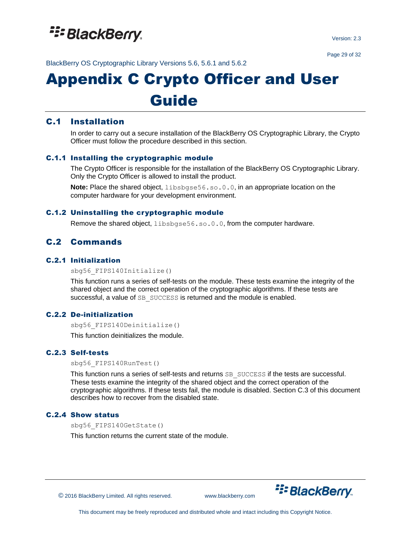

Version: 2.3

Page 29 of 32

BlackBerry OS Cryptographic Library Versions 5.6, 5.6.1 and 5.6.2

# Appendix C Crypto Officer and User Guide

### C.1 Installation

In order to carry out a secure installation of the BlackBerry OS Cryptographic Library, the Crypto Officer must follow the procedure described in this section.

#### C.1.1 Installing the cryptographic module

The Crypto Officer is responsible for the installation of the BlackBerry OS Cryptographic Library. Only the Crypto Officer is allowed to install the product.

**Note:** Place the shared object, libsbgse56.so.0.0, in an appropriate location on the computer hardware for your development environment.

#### C.1.2 Uninstalling the cryptographic module

Remove the shared object, libsbgse56.so.0.0, from the computer hardware.

### C.2 Commands

#### C.2.1 Initialization

sbg56\_FIPS140Initialize()

This function runs a series of self-tests on the module. These tests examine the integrity of the shared object and the correct operation of the cryptographic algorithms. If these tests are successful, a value of SB SUCCESS is returned and the module is enabled.

#### C.2.2 De-initialization

sbg56\_FIPS140Deinitialize()

This function deinitializes the module.

#### C.2.3 Self-tests

sbg56\_FIPS140RunTest()

This function runs a series of self-tests and returns SB\_SUCCESS if the tests are successful. These tests examine the integrity of the shared object and the correct operation of the cryptographic algorithms. If these tests fail, the module is disabled. Section C.3 of this document describes how to recover from the disabled state.

#### C.2.4 Show status

sbg56\_FIPS140GetState()

This function returns the current state of the module.

© 2016 BlackBerry Limited. All rights reserved. www.blackberry.com

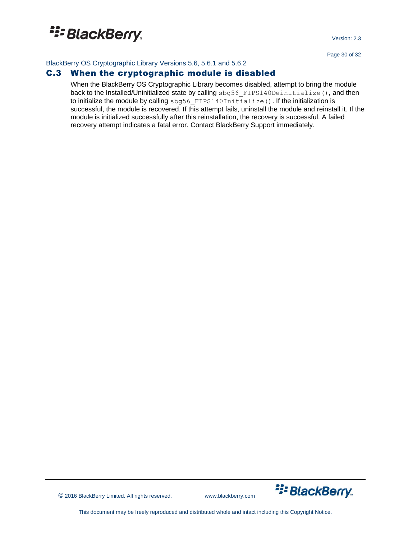Version: 2.3

Page 30 of 32

BlackBerry OS Cryptographic Library Versions 5.6, 5.6.1 and 5.6.2

### C.3 When the cryptographic module is disabled

When the BlackBerry OS Cryptographic Library becomes disabled, attempt to bring the module back to the Installed/Uninitialized state by calling sbg56\_FIPS140Deinitialize()*,* and then to initialize the module by calling sbg56 FIPS140Initialize(). If the initialization is successful, the module is recovered. If this attempt fails, uninstall the module and reinstall it. If the module is initialized successfully after this reinstallation, the recovery is successful. A failed recovery attempt indicates a fatal error. Contact BlackBerry Support immediately.



© 2016 BlackBerry Limited. All rights reserved. www.blackberry.com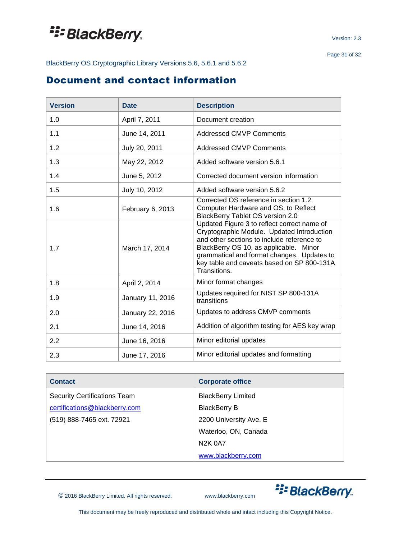BlackBerry OS Cryptographic Library Versions 5.6, 5.6.1 and 5.6.2

## <span id="page-30-0"></span>Document and contact information

| <b>Version</b> | <b>Date</b>      | <b>Description</b>                                                                                                                                                                                                                                                                            |
|----------------|------------------|-----------------------------------------------------------------------------------------------------------------------------------------------------------------------------------------------------------------------------------------------------------------------------------------------|
| 1.0            | April 7, 2011    | Document creation                                                                                                                                                                                                                                                                             |
| 1.1            | June 14, 2011    | <b>Addressed CMVP Comments</b>                                                                                                                                                                                                                                                                |
| 1.2            | July 20, 2011    | <b>Addressed CMVP Comments</b>                                                                                                                                                                                                                                                                |
| 1.3            | May 22, 2012     | Added software version 5.6.1                                                                                                                                                                                                                                                                  |
| 1.4            | June 5, 2012     | Corrected document version information                                                                                                                                                                                                                                                        |
| 1.5            | July 10, 2012    | Added software version 5.6.2                                                                                                                                                                                                                                                                  |
| 1.6            | February 6, 2013 | Corrected OS reference in section 1.2<br>Computer Hardware and OS, to Reflect<br><b>BlackBerry Tablet OS version 2.0</b>                                                                                                                                                                      |
| 1.7            | March 17, 2014   | Updated Figure 3 to reflect correct name of<br>Cryptographic Module. Updated Introduction<br>and other sections to include reference to<br>BlackBerry OS 10, as applicable. Minor<br>grammatical and format changes. Updates to<br>key table and caveats based on SP 800-131A<br>Transitions. |
| 1.8            | April 2, 2014    | Minor format changes                                                                                                                                                                                                                                                                          |
| 1.9            | January 11, 2016 | Updates required for NIST SP 800-131A<br>transitions                                                                                                                                                                                                                                          |
| 2.0            | January 22, 2016 | Updates to address CMVP comments                                                                                                                                                                                                                                                              |
| 2.1            | June 14, 2016    | Addition of algorithm testing for AES key wrap                                                                                                                                                                                                                                                |
| 2.2            | June 16, 2016    | Minor editorial updates                                                                                                                                                                                                                                                                       |
| 2.3            | June 17, 2016    | Minor editorial updates and formatting                                                                                                                                                                                                                                                        |

| <b>Contact</b>                      | <b>Corporate office</b>   |
|-------------------------------------|---------------------------|
| <b>Security Certifications Team</b> | <b>BlackBerry Limited</b> |
| certifications@blackberry.com       | <b>BlackBerry B</b>       |
| (519) 888-7465 ext. 72921           | 2200 University Ave. E    |
|                                     | Waterloo, ON, Canada      |
|                                     | N <sub>2</sub> K 0A7      |
|                                     | www.blackberry.com        |

© 2016 BlackBerry Limited. All rights reserved. www.blackberry.com